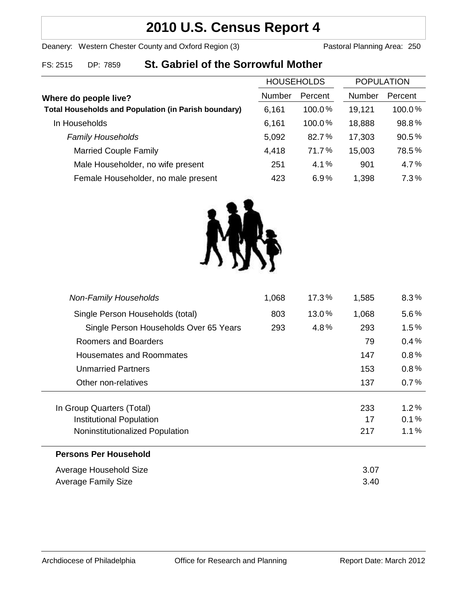# **2010 U.S. Census Report 4**

# Deanery: Western Chester County and Oxford Region (3) Pastoral Planning Area: 250

# FS: 2515 DP: 7859 **St. Gabriel of the Sorrowful Mother**

|                                                             | <b>HOUSEHOLDS</b> |           | <b>POPULATION</b> |         |
|-------------------------------------------------------------|-------------------|-----------|-------------------|---------|
| Where do people live?                                       | Number            | Percent   | <b>Number</b>     | Percent |
| <b>Total Households and Population (in Parish boundary)</b> | 6,161             | $100.0\%$ | 19,121            | 100.0%  |
| In Households                                               | 6,161             | 100.0%    | 18,888            | 98.8%   |
| <b>Family Households</b>                                    | 5,092             | 82.7%     | 17,303            | 90.5%   |
| <b>Married Couple Family</b>                                | 4,418             | 71.7%     | 15,003            | 78.5%   |
| Male Householder, no wife present                           | 251               | 4.1%      | 901               | 4.7%    |
| Female Householder, no male present                         | 423               | 6.9%      | 1,398             | 7.3%    |



| <b>Non-Family Households</b>           | 1,068 | $17.3\%$ | 1,585 | $8.3\%$ |  |
|----------------------------------------|-------|----------|-------|---------|--|
| Single Person Households (total)       | 803   | 13.0%    | 1,068 | $5.6\%$ |  |
| Single Person Households Over 65 Years | 293   | 4.8%     | 293   | $1.5\%$ |  |
| Roomers and Boarders                   |       |          | 79    | 0.4%    |  |
| Housemates and Roommates               |       |          | 147   | 0.8%    |  |
| Unmarried Partners                     |       |          | 153   | 0.8%    |  |
| Other non-relatives                    |       |          | 137   | 0.7%    |  |
|                                        |       |          |       |         |  |
| In Group Quarters (Total)              |       |          | 233   | $1.2\%$ |  |
| Institutional Population               |       |          | 17    | 0.1%    |  |
| Noninstitutionalized Population        |       |          | 217   | $1.1\%$ |  |
| <b>Persons Per Household</b>           |       |          |       |         |  |
| Average Household Size                 |       |          | 3.07  |         |  |
| <b>Average Family Size</b>             |       |          | 3.40  |         |  |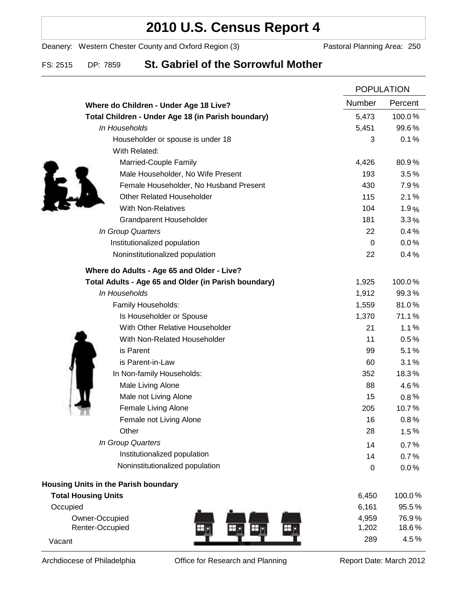# **2010 U.S. Census Report 4**

Deanery: Western Chester County and Oxford Region (3) Pastoral Planning Area: 250

# FS: 2515 DP: 7859 **St. Gabriel of the Sorrowful Mother**

|                                                      |             | <b>POPULATION</b> |  |
|------------------------------------------------------|-------------|-------------------|--|
| Where do Children - Under Age 18 Live?               | Number      | Percent           |  |
| Total Children - Under Age 18 (in Parish boundary)   | 5,473       | 100.0%            |  |
| In Households                                        | 5,451       | 99.6%             |  |
| Householder or spouse is under 18                    | 3           | 0.1%              |  |
| With Related:                                        |             |                   |  |
| Married-Couple Family                                | 4,426       | 80.9%             |  |
| Male Householder, No Wife Present                    | 193         | 3.5%              |  |
| Female Householder, No Husband Present               | 430         | 7.9%              |  |
| <b>Other Related Householder</b>                     | 115         | 2.1%              |  |
| <b>With Non-Relatives</b>                            | 104         | 1.9%              |  |
| <b>Grandparent Householder</b>                       | 181         | 3.3%              |  |
| In Group Quarters                                    | 22          | 0.4%              |  |
| Institutionalized population                         | 0           | 0.0%              |  |
| Noninstitutionalized population                      | 22          | 0.4%              |  |
| Where do Adults - Age 65 and Older - Live?           |             |                   |  |
| Total Adults - Age 65 and Older (in Parish boundary) | 1,925       | 100.0%            |  |
| In Households                                        | 1,912       | 99.3%             |  |
| Family Households:                                   | 1,559       | 81.0%             |  |
| Is Householder or Spouse                             | 1,370       | 71.1%             |  |
| With Other Relative Householder                      | 21          | 1.1%              |  |
| With Non-Related Householder                         | 11          | 0.5%              |  |
| is Parent                                            | 99          | 5.1%              |  |
| is Parent-in-Law                                     | 60          | 3.1%              |  |
| In Non-family Households:                            | 352         | 18.3%             |  |
| Male Living Alone                                    | 88          | 4.6%              |  |
| Male not Living Alone                                | 15          | $0.8\%$           |  |
| Female Living Alone                                  | 205         | 10.7%             |  |
| Female not Living Alone                              | 16          | 0.8%              |  |
| Other                                                | 28          | 1.5%              |  |
| In Group Quarters                                    | 14          | 0.7%              |  |
| Institutionalized population                         | 14          | 0.7%              |  |
| Noninstitutionalized population                      | $\mathbf 0$ | 0.0%              |  |
| Housing Units in the Parish boundary                 |             |                   |  |
| <b>Total Housing Units</b>                           | 6,450       | 100.0%            |  |
| Occupied                                             | 6,161       | 95.5%             |  |
| Owner-Occupied                                       | 4,959       | 76.9%             |  |
| Renter-Occupied                                      | 1,202       | 18.6%             |  |
| Vacant                                               | 289         | 4.5%              |  |

Archdiocese of Philadelphia **Office for Research and Planning** Report Date: March 2012